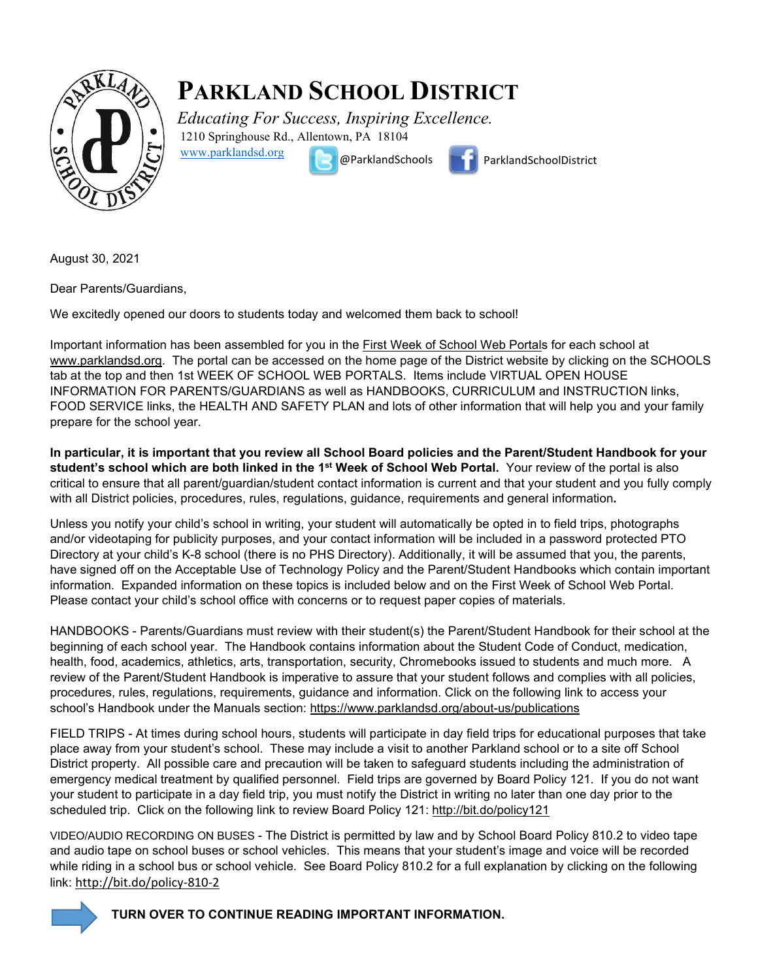

## **PARKLAND SCHOOL DISTRICT**

*Educating For Success, Inspiring Excellence.* 1210 Springhouse Rd., Allentown, PA 18104



[www.parklandsd.org](http://www.parklandsd.org/)

@ParklandSchools ParklandSchoolDistrict

August 30, 2021

Dear Parents/Guardians,

We excitedly opened our doors to students today and welcomed them back to school!

Important information has been assembled for you in the [First Week of School Web Portals](http://track.spe.schoolmessenger.com/f/a/Qnth32RvvN6mjrCA5cmaHw%7E%7E/AAAAAQA%7E/RgRhLsdtP0RBaHR0cHM6Ly93d3cucGFya2xhbmRzZC5vcmcvc2Nob29scy8xc3Qtd2Vlay1vZi1zY2hvb2wtd2ViLXBvcnRhbHNXB3NjaG9vbG1CCgBG7ZNNX9QzZZdSF21jZ2FsbGFuQHBhcmtsYW5kc2Qub3JnWAQAAAAB) for each school at [www.parklandsd.org.](http://www.parklandsd.org/) The portal can be accessed on the home page of the District website by clicking on the SCHOOLS tab at the top and then 1st WEEK OF SCHOOL WEB PORTALS. Items include VIRTUAL OPEN HOUSE INFORMATION FOR PARENTS/GUARDIANS as well as HANDBOOKS, CURRICULUM and INSTRUCTION links, FOOD SERVICE links, the HEALTH AND SAFETY PLAN and lots of other information that will help you and your family prepare for the school year.

**In particular, it is important that you review all School Board policies and the Parent/Student Handbook for your student's school which are both linked in the 1st Week of School Web Portal.** Your review of the portal is also critical to ensure that all parent/guardian/student contact information is current and that your student and you fully comply with all District policies, procedures, rules, regulations, guidance, requirements and general information**.** 

Unless you notify your child's school in writing, your student will automatically be opted in to field trips, photographs and/or videotaping for publicity purposes, and your contact information will be included in a password protected PTO Directory at your child's K-8 school (there is no PHS Directory). Additionally, it will be assumed that you, the parents, have signed off on the Acceptable Use of Technology Policy and the Parent/Student Handbooks which contain important information. Expanded information on these topics is included below and on the First Week of School Web Portal. Please contact your child's school office with concerns or to request paper copies of materials.

HANDBOOKS - Parents/Guardians must review with their student(s) the Parent/Student Handbook for their school at the beginning of each school year. The Handbook contains information about the Student Code of Conduct, medication, health, food, academics, athletics, arts, transportation, security, Chromebooks issued to students and much more. A review of the Parent/Student Handbook is imperative to assure that your student follows and complies with all policies, procedures, rules, regulations, requirements, guidance and information. Click on the following link to access your school's Handbook under the Manuals section:<https://www.parklandsd.org/about-us/publications>

FIELD TRIPS - At times during school hours, students will participate in day field trips for educational purposes that take place away from your student's school. These may include a visit to another Parkland school or to a site off School District property. All possible care and precaution will be taken to safeguard students including the administration of emergency medical treatment by qualified personnel. Field trips are governed by Board Policy 121. If you do not want your student to participate in a day field trip, you must notify the District in writing no later than one day prior to the scheduled trip. Click on the following link to review Board Policy 121:<http://bit.do/policy121>

VIDEO/AUDIO RECORDING ON BUSES - The District is permitted by law and by School Board Policy 810.2 to video tape and audio tape on school buses or school vehicles. This means that your student's image and voice will be recorded while riding in a school bus or school vehicle. See Board Policy 810.2 for a full explanation by clicking on the following link: <http://bit.do/policy-810-2>



**TURN OVER TO CONTINUE READING IMPORTANT INFORMATION.**